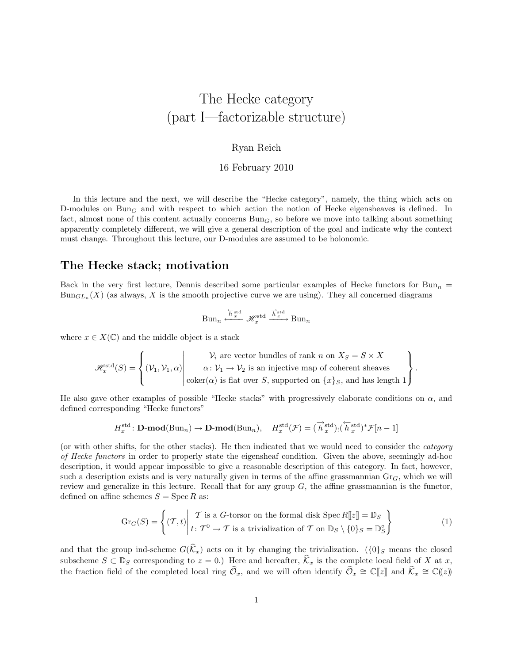# The Hecke category (part I—factorizable structure)

#### Ryan Reich

16 February 2010

In this lecture and the next, we will describe the "Hecke category", namely, the thing which acts on D-modules on Bun<sub>G</sub> and with respect to which action the notion of Hecke eigensheaves is defined. In fact, almost none of this content actually concerns  $Bun<sub>G</sub>$ , so before we move into talking about something apparently completely different, we will give a general description of the goal and indicate why the context must change. Throughout this lecture, our D-modules are assumed to be holonomic.

#### The Hecke stack; motivation

Back in the very first lecture, Dennis described some particular examples of Hecke functors for Bun<sub>n</sub> =  $Bun_{GL_n}(X)$  (as always, X is the smooth projective curve we are using). They all concerned diagrams

$$
\text{Bun}_n \xleftarrow{\overleftarrow{h}^{\text{std}}_x} \mathscr{H}^{\text{std}}_x \xrightarrow{\overrightarrow{h}^{\text{std}}_x} \text{Bun}_n
$$

where  $x \in X(\mathbb{C})$  and the middle object is a stack

$$
\mathscr{H}^{\text{std}}_x(S) = \left\{ (\mathcal{V}_1, \mathcal{V}_1, \alpha) \middle| \begin{array}{c} \mathcal{V}_i \text{ are vector bundles of rank } n \text{ on } X_S = S \times X \\ \alpha \colon \mathcal{V}_1 \to \mathcal{V}_2 \text{ is an injective map of coherent sheaves} \\ \text{coker}(\alpha) \text{ is flat over } S \text{, supported on } \{x\}_S \text{, and has length } 1 \end{array} \right\}.
$$

He also gave other examples of possible "Hecke stacks" with progressively elaborate conditions on  $\alpha$ , and defined corresponding "Hecke functors"

$$
H_x^{\text{std}} \colon \mathbf{D}\text{-}\mathbf{mod}(\text{Bun}_n) \to \mathbf{D}\text{-}\mathbf{mod}(\text{Bun}_n), \quad H_x^{\text{std}}(\mathcal{F}) = (\overrightarrow{h}_x^{\text{std}})_! (\overleftarrow{h}_x^{\text{std}})^* \mathcal{F}[n-1]
$$

(or with other shifts, for the other stacks). He then indicated that we would need to consider the category of Hecke functors in order to properly state the eigensheaf condition. Given the above, seemingly ad-hoc description, it would appear impossible to give a reasonable description of this category. In fact, however, such a description exists and is very naturally given in terms of the affine grassmannian  $\text{Gr}_G$ , which we will review and generalize in this lecture. Recall that for any group  $G$ , the affine grassmannian is the functor, defined on affine schemes  $S = \text{Spec } R$  as:

<span id="page-0-0"></span>
$$
\operatorname{Gr}_G(S) = \left\{ (T, t) \middle| \begin{array}{c} T \text{ is a } G\text{-torsor on the formal disk } \operatorname{Spec} R[\![z]\!] = \mathbb{D}_S \\ t \colon T^0 \to T \text{ is a trivialization of } T \text{ on } \mathbb{D}_S \setminus \{0\}_S = \mathbb{D}_S^\circ \end{array} \right\} \tag{1}
$$

and that the group ind-scheme  $G(\widehat{k}_x)$  acts on it by changing the trivialization. ( ${0}_S$  means the closed subscheme  $S \subset \mathbb{D}_S$  corresponding to  $z = 0$ .) Here and hereafter,  $\widehat{\mathcal{K}}_x$  is the complete local field of X at x, the fraction field of the completed local ring  $\widehat{\mathcal{O}}_x$ , and we will often identify  $\widehat{\mathcal{O}}_x \cong \mathbb{C}[\![z]\!]$  and  $\widehat{\mathcal{K}}_x \cong \mathbb{C}(\!(z)\!)$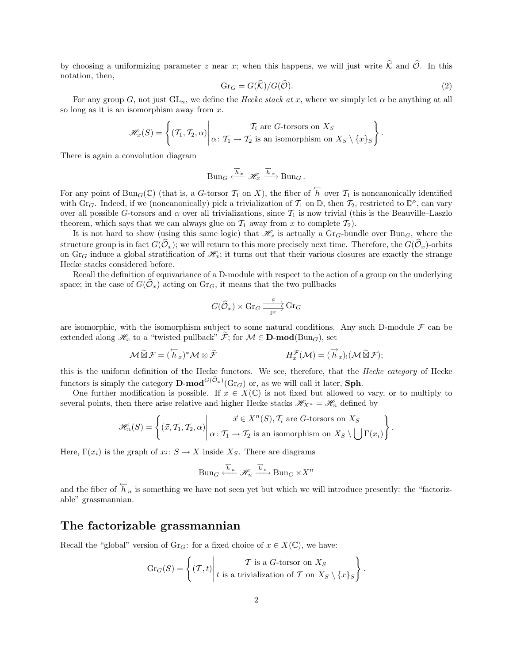by choosing a uniformizing parameter z near x; when this happens, we will just write  $\hat{\mathcal{K}}$  and  $\hat{\mathcal{O}}$ . In this notation, then,

<span id="page-1-0"></span>
$$
\mathrm{Gr}_G = G(\widehat{\mathcal{K}})/G(\widehat{\mathcal{O}}). \tag{2}
$$

For any group G, not just  $GL_n$ , we define the Hecke stack at x, where we simply let  $\alpha$  be anything at all so long as it is an isomorphism away from x.

$$
\mathscr{H}_x(S) = \left\{ (T_1, T_2, \alpha) \middle| \alpha \colon T_1 \to T_2 \text{ is an isomorphism on } X_S \setminus \{x\}_S \right\}.
$$

There is again a convolution diagram

$$
Bun_G \xleftarrow{\overleftarrow{h}_x} \mathcal{H}_x \xrightarrow{\overrightarrow{h}_x} Bun_G.
$$

For any point of Bun<sub>G</sub>( $\mathbb{C}$ ) (that is, a G-torsor  $\mathcal{T}_1$  on X), the fiber of  $\overleftarrow{h}$  over  $\mathcal{T}_1$  is noncanonically identified with Gr<sub>G</sub>. Indeed, if we (noncanonically) pick a trivialization of  $\mathcal{T}_1$  on  $\mathbb{D}$ , then  $\mathcal{T}_2$ , restricted to  $\mathbb{D}^{\circ}$ , can vary over all possible G-torsors and  $\alpha$  over all trivializations, since  $\mathcal{T}_1$  is now trivial (this is the Beauville–Laszlo theorem, which says that we can always glue on  $\mathcal{T}_1$  away from x to complete  $\mathcal{T}_2$ ).

It is not hard to show (using this same logic) that  $\mathscr{H}_x$  is actually a Gr<sub>G</sub>-bundle over Bun<sub>G</sub>, where the structure group is in fact  $G(\mathcal{O}_x)$ ; we will return to this more precisely next time. Therefore, the  $G(\mathcal{O}_x)$ -orbits on Gr<sub>G</sub> induce a global stratification of  $\mathcal{H}_x$ ; it turns out that their various closures are exactly the strange Hecke stacks considered before.

Recall the definition of equivariance of a D-module with respect to the action of a group on the underlying space; in the case of  $G(\mathcal{O}_x)$  acting on  $\text{Gr}_G$ , it means that the two pullbacks

$$
G(\widehat{\mathcal{O}}_x)\times\mathrm{Gr}_G\xrightarrow[\mathrm{pr}]{{a}\over{\mathrm{pr}}}\mathrm{Gr}_G
$$

are isomorphic, with the isomorphism subject to some natural conditions. Any such D-module  $\mathcal F$  can be extended along  $\mathscr{H}_x$  to a "twisted pullback"  $\mathcal{F}$ ; for  $\mathcal{M} \in \mathbf{D-mod}(\text{Bun}_G)$ , set

$$
\mathcal{M}\widetilde{\boxtimes}\mathcal{F}=(\overleftrightarrow{h}_x)^*\mathcal{M}\otimes\widetilde{\mathcal{F}}
$$
  

$$
H_x^{\mathcal{F}}(\mathcal{M})=(\overrightarrow{h}_x)_!(\mathcal{M}\widetilde{\boxtimes}\mathcal{F});
$$

this is the uniform definition of the Hecke functors. We see, therefore, that the Hecke category of Hecke functors is simply the category **D-mod**<sup> $G(\mathcal{O}_x)$ </sup> (Gr<sub>G</sub>) or, as we will call it later, **Sph**.

One further modification is possible. If  $x \in X(\mathbb{C})$  is not fixed but allowed to vary, or to multiply to several points, then there arise relative and higher Hecke stacks  $\mathscr{H}_{X^n} = \mathscr{H}_n$  defined by

$$
\mathscr{H}_n(S) = \left\{ (\vec{x}, T_1, T_2, \alpha) \middle| \begin{matrix} \vec{x} \in X^n(S), T_i \text{ are } G\text{-torsors on } X_S \\ \alpha \colon T_1 \to T_2 \text{ is an isomorphism on } X_S \setminus \bigcup \Gamma(x_i) \end{matrix} \right\}.
$$

Here,  $\Gamma(x_i)$  is the graph of  $x_i: S \to X$  inside  $X_S$ . There are diagrams

$$
\text{Bun}_G \xleftarrow{\overleftarrow{h}_n} \mathscr{H}_n \xrightarrow{\overrightarrow{h}_n} \text{Bun}_G \times X^n
$$

and the fiber of  $\overleftarrow{h}_n$  is something we have not seen yet but which we will introduce presently: the "factorizable" grassmannian.

### The factorizable grassmannian

Recall the "global" version of Gr<sub>G</sub>: for a fixed choice of  $x \in X(\mathbb{C})$ , we have:

$$
\mathrm{Gr}_G(S) = \left\{ (T, t) \middle| \begin{array}{c} T \text{ is a } G\text{-torsor on } X_S \\ t \text{ is a trivialization of } T \text{ on } X_S \setminus \{x\}_S \end{array} \right\}.
$$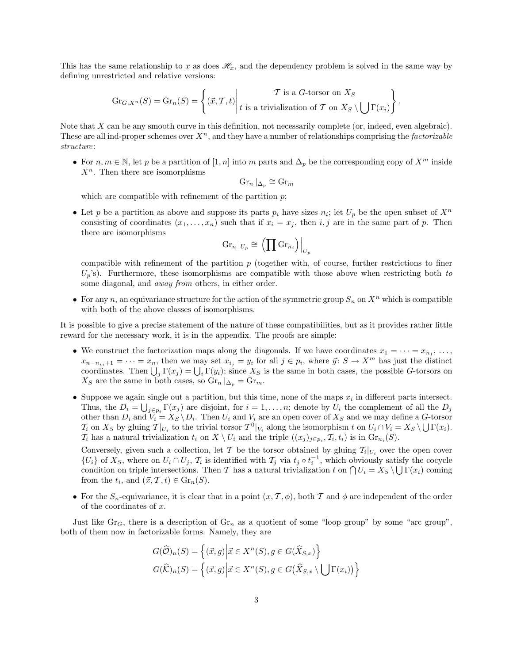This has the same relationship to x as does  $\mathscr{H}_x$ , and the dependency problem is solved in the same way by defining unrestricted and relative versions:

$$
\operatorname{Gr}_{G,X^n}(S) = \operatorname{Gr}_n(S) = \left\{ (\vec{x}, \mathcal{T}, t) \middle| \begin{matrix} \mathcal{T} \text{ is a } G\text{-torsor on } X_S \\ t \text{ is a trivialization of } \mathcal{T} \text{ on } X_S \setminus \bigcup \Gamma(x_i) \end{matrix} \right\}
$$

.

Note that X can be any smooth curve in this definition, not necessarily complete (or, indeed, even algebraic). These are all ind-proper schemes over  $X^n$ , and they have a number of relationships comprising the *factorizable* structure:

• For  $n, m \in \mathbb{N}$ , let p be a partition of [1, n] into m parts and  $\Delta_p$  be the corresponding copy of  $X^m$  inside  $X<sup>n</sup>$ . Then there are isomorphisms

$$
\operatorname{Gr}_n|_{\Delta_p} \cong \operatorname{Gr}_m
$$

which are compatible with refinement of the partition  $p$ ;

• Let p be a partition as above and suppose its parts  $p_i$  have sizes  $n_i$ ; let  $U_p$  be the open subset of  $X^n$ consisting of coordinates  $(x_1, \ldots, x_n)$  such that if  $x_i = x_j$ , then i, j are in the same part of p. Then there are isomorphisms

$$
\operatorname{Gr}_n|_{U_p}\cong \left(\prod\operatorname{Gr}_{n_i}\right)\Big|_{U_p}
$$

compatible with refinement of the partition  $p$  (together with, of course, further restrictions to finer  $U_p$ 's). Furthermore, these isomorphisms are compatible with those above when restricting both to some diagonal, and *away from* others, in either order.

• For any n, an equivariance structure for the action of the symmetric group  $S_n$  on  $X^n$  which is compatible with both of the above classes of isomorphisms.

It is possible to give a precise statement of the nature of these compatibilities, but as it provides rather little reward for the necessary work, it is in the appendix. The proofs are simple:

- We construct the factorization maps along the diagonals. If we have coordinates  $x_1 = \cdots = x_{n_1}, \ldots,$  $x_{n-n_m+1} = \cdots = x_n$ , then we may set  $x_{i_j} = y_i$  for all  $j \in p_i$ , where  $\vec{y} \colon S \to X^m$  has just the distinct coordinates. Then  $\bigcup_j \Gamma(x_j) = \bigcup_i \Gamma(y_i)$ ; since  $X_S$  is the same in both cases, the possible G-torsors on  $X_S$  are the same in both cases, so  $\mathrm{Gr}_n|_{\Delta_n} = \mathrm{Gr}_m$ .
- Suppose we again single out a partition, but this time, none of the maps  $x_i$  in different parts intersect. Thus, the  $D_i = \bigcup_{j \in p_i} \Gamma(x_j)$  are disjoint, for  $i = 1, \ldots, n$ ; denote by  $U_i$  the complement of all the  $D_j$ other than  $D_i$  and  $V_i = X_S \backslash D_i$ . Then  $U_i$  and  $V_i$  are an open cover of  $X_S$  and we may define a G-torsor  $\mathcal{T}_i$  on  $X_S$  by gluing  $\mathcal{T}|_{U_i}$  to the trivial torsor  $\mathcal{T}^0|_{V_i}$  along the isomorphism t on  $U_i \cap V_i = X_S \setminus \bigcup \Gamma(x_i)$ .  $\mathcal{T}_i$  has a natural trivialization  $t_i$  on  $X \setminus U_i$  and the triple  $((x_j)_{j \in p_i}, \mathcal{T}_i, t_i)$  is in  $\text{Gr}_{n_i}(S)$ .

Conversely, given such a collection, let T be the torsor obtained by gluing  $\mathcal{T}_i|_{U_i}$  over the open cover  $\{U_i\}$  of  $X_S$ , where on  $U_i \cap U_j$ ,  $\mathcal{T}_i$  is identified with  $\mathcal{T}_j$  via  $t_j \circ t_i^{-1}$ , which obviously satisfy the cocycle condition on triple intersections. Then T has a natural trivialization t on  $\bigcap U_i = X_S \setminus \bigcup \Gamma(x_i)$  coming from the  $t_i$ , and  $(\vec{x}, \mathcal{T}, t) \in \mathrm{Gr}_n(S)$ .

• For the  $S_n$ -equivariance, it is clear that in a point  $(x, \mathcal{T}, \phi)$ , both T and  $\phi$  are independent of the order of the coordinates of x.

Just like  $\text{Gr}_G$ , there is a description of  $\text{Gr}_n$  as a quotient of some "loop group" by some "arc group", both of them now in factorizable forms. Namely, they are

$$
G(\widehat{\mathcal{O}})_n(S) = \left\{ (\vec{x}, g) \middle| \vec{x} \in X^n(S), g \in G(\widehat{X}_{S, x}) \right\}
$$

$$
G(\widehat{\mathcal{K}})_n(S) = \left\{ (\vec{x}, g) \middle| \vec{x} \in X^n(S), g \in G(\widehat{X}_{S, x} \setminus \bigcup \Gamma(x_i)) \right\}
$$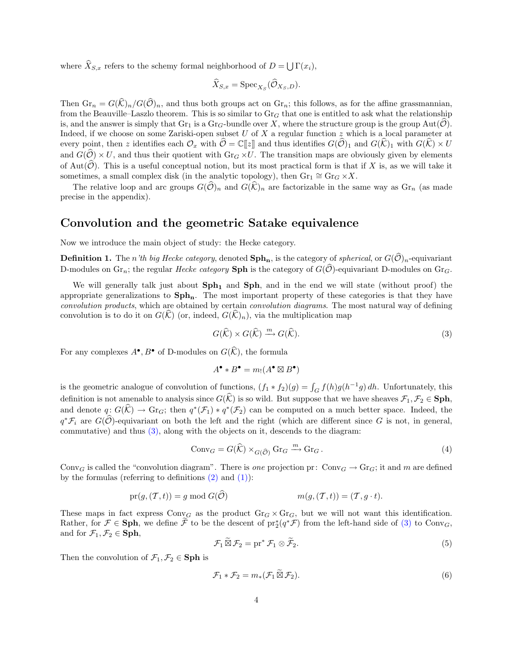where  $\dot{X}_{S,x}$  refers to the schemy formal neighborhood of  $D = \bigcup \Gamma(x_i)$ ,

$$
\widehat{X}_{S,x} = \mathrm{Spec}_{X_S}(\widehat{\mathcal{O}}_{X_S,D}).
$$

Then  $\text{Gr}_n = G(\widehat{\mathcal{K}})_n/G(\widehat{\mathcal{O}})_n$ , and thus both groups act on  $\text{Gr}_n$ ; this follows, as for the affine grassmannian, from the Beauville–Laszlo theorem. This is so similar to  $Gr_G$  that one is entitled to ask what the relationship is, and the answer is simply that  $\text{Gr}_1$  is a  $\text{Gr}_G$ -bundle over X, where the structure group is the group  $\text{Aut}(\tilde{\mathcal{O}})$ . Indeed, if we choose on some Zariski-open subset  $U$  of  $X$  a regular function  $z$  which is a local parameter at every point, then z identifies each  $\mathcal{O}_x$  with  $\widehat{\mathcal{O}} = \mathbb{C}[[z]]$  and thus identifies  $G(\widehat{\mathcal{O}})_1$  and  $G(\widehat{\mathcal{K}})_1$  with  $G(\widehat{\mathcal{K}}) \times U$ and  $G(\widehat{\mathcal{O}})\times U$ , and thus their quotient with  $Gr_G\times U$ . The transition maps are obviously given by elements of Aut $(\hat{\mathcal{O}})$ . This is a useful conceptual notion, but its most practical form is that if X is, as we will take it sometimes, a small complex disk (in the analytic topology), then  $\text{Gr}_1 \cong \text{Gr}_G \times X$ .

The relative loop and arc groups  $G(\hat{O})_n$  and  $G(\hat{K})_n$  are factorizable in the same way as  $\text{Gr}_n$  (as made precise in the appendix).

#### Convolution and the geometric Satake equivalence

Now we introduce the main object of study: the Hecke category.

**Definition 1.** The *n'th big Hecke category*, denoted  $\text{Sph}_n$ , is the category of *spherical*, or  $G(\hat{O})_n$ -equivariant D-modules on  $\mathrm{Gr}_n$ ; the regular *Hecke category* **Sph** is the category of  $G(\mathcal{O})$ -equivariant D-modules on  $\mathrm{Gr}_G$ .

We will generally talk just about  $Sph<sub>1</sub>$  and  $Sph<sub>2</sub>$ , and in the end we will state (without proof) the appropriate generalizations to  $Sph_n$ . The most important property of these categories is that they have convolution products, which are obtained by certain convolution diagrams. The most natural way of defining convolution is to do it on  $G(\mathcal{K})$  (or, indeed,  $G(\mathcal{K})_n$ ), via the multiplication map

<span id="page-3-0"></span>
$$
G(\widehat{\mathcal{K}}) \times G(\widehat{\mathcal{K}}) \xrightarrow{m} G(\widehat{\mathcal{K}}). \tag{3}
$$

For any complexes  $A^{\bullet}, B^{\bullet}$  of D-modules on  $G(\widehat{K})$ , the formula

$$
A^{\bullet} * B^{\bullet} = m_! (A^{\bullet} \boxtimes B^{\bullet})
$$

is the geometric analogue of convolution of functions,  $(f_1 * f_2)(g) = \int_G f(h)g(h^{-1}g) dh$ . Unfortunately, this definition is not amenable to analysis since  $G(\widehat{K})$  is so wild. But suppose that we have sheaves  $\mathcal{F}_1, \mathcal{F}_2 \in \mathbf{Sph}$ , and denote  $q: G(\widehat{K}) \to \text{Gr}_G$ ; then  $q^*(\mathcal{F}_1) * q^*(\mathcal{F}_2)$  can be computed on a much better space. Indeed, the  $q^*\mathcal{F}_i$  are  $G(\widehat{\mathcal{O}})$ -equivariant on both the left and the right (which are different since G is not, in general, commutative) and thus [\(3\),](#page-3-0) along with the objects on it, descends to the diagram:

<span id="page-3-1"></span>
$$
Conv_G = G(\widehat{\mathcal{K}}) \times_{G(\widehat{\mathcal{O}})} \mathrm{Gr}_G \xrightarrow{m} \mathrm{Gr}_G.
$$
\n<sup>(4)</sup>

Conv<sub>G</sub> is called the "convolution diagram". There is one projection pr: Conv<sub>G</sub>  $\rightarrow$  Gr<sub>G</sub>; it and m are defined by the formulas (referring to definitions  $(2)$  and  $(1)$ ):

$$
pr(g,(\mathcal{T},t)) = g \bmod G(\mathcal{O}) \qquad \qquad m(g,(\mathcal{T},t)) = (\mathcal{T},g \cdot t).
$$

These maps in fact express  $Conv_G$  as the product  $Gr_G \times Gr_G$ , but we will not want this identification. Rather, for  $\mathcal{F} \in \mathbf{Sph}$ , we define  $\tilde{\mathcal{F}}$  to be the descent of  $\mathrm{pr}_2^*(q^*\mathcal{F})$  from the left-hand side of  $(3)$  to Conv $_G$ , and for  $\mathcal{F}_1, \mathcal{F}_2 \in \mathbf{Sph}$ ,

<span id="page-3-2"></span>
$$
\mathcal{F}_1 \widetilde{\boxtimes} \mathcal{F}_2 = \text{pr}^* \mathcal{F}_1 \otimes \widetilde{\mathcal{F}}_2. \tag{5}
$$

Then the convolution of  $\mathcal{F}_1, \mathcal{F}_2 \in \mathbf{Sph}$  is

<span id="page-3-3"></span>
$$
\mathcal{F}_1 * \mathcal{F}_2 = m_*(\mathcal{F}_1 \widetilde{\boxtimes} \mathcal{F}_2). \tag{6}
$$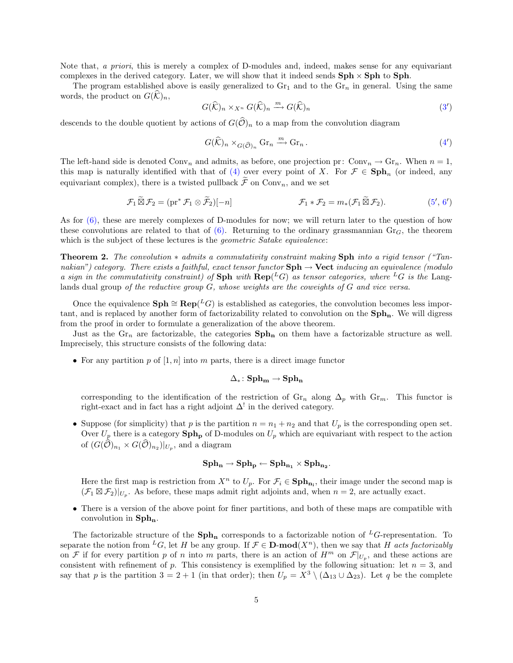Note that, a priori, this is merely a complex of D-modules and, indeed, makes sense for any equivariant complexes in the derived category. Later, we will show that it indeed sends  $\text{Sph} \times \text{Sph}$  to  $\text{Sph}$ .

The program established above is easily generalized to  $\text{Gr}_1$  and to the  $\text{Gr}_n$  in general. Using the same words, the product on  $G(\widehat{K})_n$ ,

$$
G(\widehat{\mathcal{K}})_n \times_{X^n} G(\widehat{\mathcal{K}})_n \xrightarrow{m} G(\widehat{\mathcal{K}})_n
$$
\n(3')

descends to the double quotient by actions of  $G(\hat{\mathcal{O}})_n$  to a map from the convolution diagram

<span id="page-4-2"></span><span id="page-4-1"></span>
$$
G(\widehat{\mathcal{K}})_n \times_{G(\widehat{\mathcal{O}})_n} \mathrm{Gr}_n \xrightarrow{m} \mathrm{Gr}_n.
$$
 (4')

The left-hand side is denoted Conv<sub>n</sub> and admits, as before, one projection pr: Conv<sub>n</sub>  $\rightarrow$  Gr<sub>n</sub>. When  $n = 1$ , this map is naturally identified with that of [\(4\)](#page-3-1) over every point of X. For  $\mathcal{F} \in \mathbf{Sph}_n$  (or indeed, any equivariant complex), there is a twisted pullback  $\widetilde{\mathcal{F}}$  on Conv<sub>n</sub>, and we set

$$
\mathcal{F}_1 \widetilde{\boxtimes} \mathcal{F}_2 = (\text{pr}^* \mathcal{F}_1 \otimes \widetilde{\mathcal{F}}_2)[-n] \qquad \mathcal{F}_1 * \mathcal{F}_2 = m_*(\mathcal{F}_1 \widetilde{\boxtimes} \mathcal{F}_2). \qquad (5', 6')
$$

As for  $(6)$ , these are merely complexes of D-modules for now; we will return later to the question of how these convolutions are related to that of  $(6)$ . Returning to the ordinary grassmannian  $Gr_G$ , the theorem which is the subject of these lectures is the *geometric Satake equivalence*:

<span id="page-4-0"></span>Theorem 2. The convolution ∗ admits a commutativity constraint making Sph into a rigid tensor ("Tannakian") category. There exists a faithful, exact tensor functor  $Sph \rightarrow$  Vect inducing an equivalence (modulo a sign in the commutativity constraint) of Sph with  $\mathbf{Rep}(^L G)$  as tensor categories, where  $^L G$  is the Langlands dual group of the reductive group  $G$ , whose weights are the coweights of  $G$  and vice versa.

Once the equivalence  $\text{Sph} \cong \text{Rep}(^L G)$  is established as categories, the convolution becomes less important, and is replaced by another form of factorizability related to convolution on the  $Sph_n$ . We will digress from the proof in order to formulate a generalization of the above theorem.

Just as the  $\text{Gr}_n$  are factorizable, the categories  $\text{Sph}_n$  on them have a factorizable structure as well. Imprecisely, this structure consists of the following data:

• For any partition p of  $[1, n]$  into m parts, there is a direct image functor

$$
\Delta_*\colon \mathbf{Sph_m}\to \mathbf{Sph_n}
$$

corresponding to the identification of the restriction of  $\mathrm{Gr}_n$  along  $\Delta_p$  with  $\mathrm{Gr}_m$ . This functor is right-exact and in fact has a right adjoint  $\Delta^!$  in the derived category.

• Suppose (for simplicity) that p is the partition  $n = n_1 + n_2$  and that  $U_p$  is the corresponding open set. Over  $U_p$  there is a category  $\text{Sph}_p$  of D-modules on  $U_p$  which are equivariant with respect to the action of  $(G(\mathcal{O})_{n_1} \times G(\mathcal{O})_{n_2})|_{U_p}$ , and a diagram

$$
\operatorname{\mathbf{Sph}}_{\mathbf{n}}\rightarrow \operatorname{\mathbf{Sph}}_{\mathbf{p}}\leftarrow \operatorname{\mathbf{Sph}}_{\mathbf{n_1}}\times \operatorname{\mathbf{Sph}}_{\mathbf{n_2}}.
$$

Here the first map is restriction from  $X^n$  to  $U_p$ . For  $\mathcal{F}_i \in \mathbf{Sph}_{n_i}$ , their image under the second map is  $(\mathcal{F}_1 \boxtimes \mathcal{F}_2)|_{U_p}$ . As before, these maps admit right adjoints and, when  $n = 2$ , are actually exact.

• There is a version of the above point for finer partitions, and both of these maps are compatible with convolution in  $\mathbf{Sph}_{\mathbf{n}}$ .

The factorizable structure of the  $\mathbf{Sph}_n$  corresponds to a factorizable notion of <sup>L</sup>G-representation. To separate the notion from <sup>L</sup>G, let H be any group. If  $\mathcal{F} \in \mathbf{D}\text{-mod}(X^n)$ , then we say that H acts factorizably on F if for every partition p of n into m parts, there is an action of  $H^m$  on  $\mathcal{F}|_{U_p}$ , and these actions are consistent with refinement of p. This consistency is exemplified by the following situation: let  $n = 3$ , and say that p is the partition  $3 = 2 + 1$  (in that order); then  $U_p = X^3 \setminus (\Delta_{13} \cup \Delta_{23})$ . Let q be the complete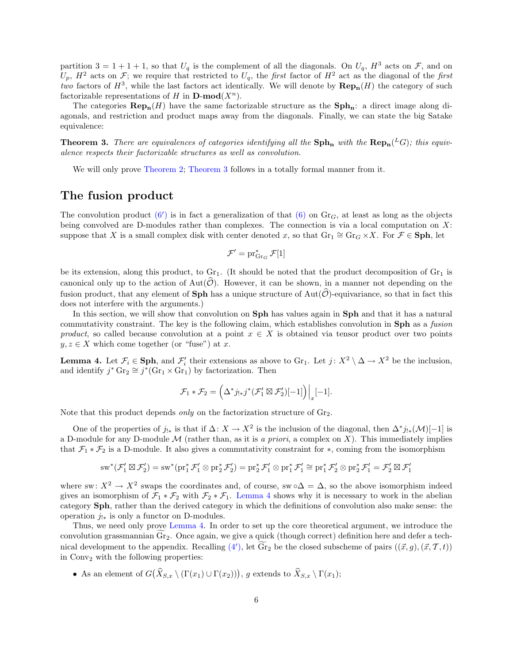partition  $3 = 1 + 1 + 1$ , so that  $U_q$  is the complement of all the diagonals. On  $U_q$ ,  $H^3$  acts on  $\mathcal{F}$ , and on  $U_p$ ,  $H^2$  acts on F; we require that restricted to  $U_q$ , the first factor of  $H^2$  act as the diagonal of the first two factors of  $H^3$ , while the last factors act identically. We will denote by  $\mathbf{Rep_n}(H)$  the category of such factorizable representations of H in  $\mathbf{D}\text{-mod}(X^n)$ .

The categories  $\mathbf{Rep}_{\mathbf{n}}(H)$  have the same factorizable structure as the  $\mathbf{Sph}_{\mathbf{n}}$ : a direct image along diagonals, and restriction and product maps away from the diagonals. Finally, we can state the big Satake equivalence:

<span id="page-5-0"></span>**Theorem 3.** There are equivalences of categories identifying all the  $\mathbf{Sph_n}$  with the  $\mathbf{Rep_n}(^L G)$ ; this equivalence respects their factorizable structures as well as convolution.

We will only prove [Theorem 2;](#page-4-0) [Theorem 3](#page-5-0) follows in a totally formal manner from it.

### The fusion product

The convolution product  $(6')$  $(6')$  is in fact a generalization of that  $(6)$  on  $Gr_G$ , at least as long as the objects being convolved are D-modules rather than complexes. The connection is via a local computation on  $X$ : suppose that X is a small complex disk with center denoted x, so that  $\text{Gr}_1 \cong \text{Gr}_G \times X$ . For  $\mathcal{F} \in \text{Sph}$ , let

$$
\mathcal{F}' = \mathrm{pr}_{\mathrm{Gr}_G}^* \mathcal{F}[1]
$$

be its extension, along this product, to  $Gr_1$ . (It should be noted that the product decomposition of  $Gr_1$  is canonical only up to the action of  $Aut(\hat{\mathcal{O}})$ . However, it can be shown, in a manner not depending on the fusion product, that any element of **Sph** has a unique structure of  $Aut(\mathcal{O})$ -equivariance, so that in fact this does not interfere with the arguments.)

In this section, we will show that convolution on **Sph** has values again in **Sph** and that it has a natural commutativity constraint. The key is the following claim, which establishes convolution in Sph as a fusion product, so called because convolution at a point  $x \in X$  is obtained via tensor product over two points  $y, z \in X$  which come together (or "fuse") at x.

<span id="page-5-1"></span>**Lemma 4.** Let  $\mathcal{F}_i \in \mathbf{Sph}$ , and  $\mathcal{F}'_i$  their extensions as above to Gr<sub>1</sub>. Let  $j: X^2 \setminus \Delta \to X^2$  be the inclusion, and identify  $j^*$   $\text{Gr}_2 \cong j^*(\text{Gr}_1 \times \text{Gr}_1)$  by factorization. Then

$$
\mathcal{F}_1 * \mathcal{F}_2 = \left( \Delta^* j_{!*} j^* (\mathcal{F}'_1 \boxtimes \mathcal{F}'_2)[-1] \right) \Big|_x [-1].
$$

Note that this product depends *only* on the factorization structure of  $\mathrm{Gr}_2$ .

One of the properties of  $j_{!*}$  is that if  $\Delta: X \to X^2$  is the inclusion of the diagonal, then  $\Delta^* j_{!*}(\mathcal{M})[-1]$  is a D-module for any D-module  $\mathcal M$  (rather than, as it is a priori, a complex on X). This immediately implies that  $\mathcal{F}_1 * \mathcal{F}_2$  is a D-module. It also gives a commutativity constraint for  $*$ , coming from the isomorphism

$$
\mathrm{sw}^*(\mathcal{F}_1'\boxtimes \mathcal{F}_2')=\mathrm{sw}^*(\mathrm{pr}_1^*\mathcal{F}_1'\otimes\mathrm{pr}_2^*\mathcal{F}_2')=\mathrm{pr}_2^*\mathcal{F}_1'\otimes\mathrm{pr}_1^*\mathcal{F}_1'\cong \mathrm{pr}_1^*\mathcal{F}_2'\otimes\mathrm{pr}_2^*\mathcal{F}_1'=\mathcal{F}_2'\boxtimes\mathcal{F}_1'
$$

where sw:  $X^2 \to X^2$  swaps the coordinates and, of course, swo $\Delta = \Delta$ , so the above isomorphism indeed gives an isomorphism of  $\mathcal{F}_1 * \mathcal{F}_2$  with  $\mathcal{F}_2 * \mathcal{F}_1$ . [Lemma 4](#page-5-1) shows why it is necessary to work in the abelian category Sph, rather than the derived category in which the definitions of convolution also make sense: the operation  $j_{!*}$  is only a functor on D-modules.

Thus, we need only prove [Lemma 4.](#page-5-1) In order to set up the core theoretical argument, we introduce the convolution grassmannian  $Gr_2$ . Once again, we give a quick (though correct) definition here and defer a tech-nical development to the appendix. Recalling [\(4](#page-4-2)'), let  $\widetilde{\text{Gr}}_2$  be the closed subscheme of pairs  $((\vec{x}, g), (\vec{x}, \mathcal{T}, t))$ in  $Conv_2$  with the following properties:

• As an element of  $G(\hat{X}_{S,x} \setminus (\Gamma(x_1) \cup \Gamma(x_2)))$ , g extends to  $\hat{X}_{S,x} \setminus \Gamma(x_1)$ ;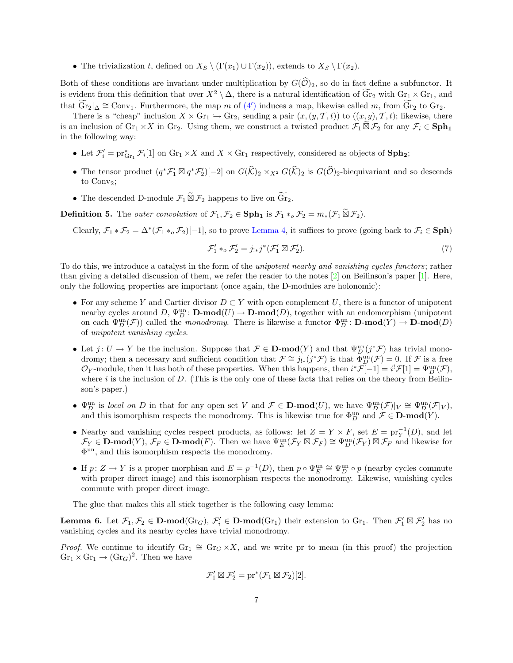• The trivialization t, defined on  $X_S \setminus (\Gamma(x_1) \cup \Gamma(x_2))$ , extends to  $X_S \setminus \Gamma(x_2)$ .

Both of these conditions are invariant under multiplication by  $G(\widehat{O})_2$ , so do in fact define a subfunctor. It is evident from this definition that over  $X^2 \setminus \Delta$ , there is a natural identification of  $\widetilde{\text{Gr}}_2$  with  $\text{Gr}_1 \times \text{Gr}_1$ , and that  $\widetilde{\text{Gr}}_2|_{\Delta} \cong \text{Conv}_1$ . Furthermore, the map m of  $(4')$  $(4')$  induces a map, likewise called m, from  $\widetilde{\text{Gr}}_2$  to  $\text{Gr}_2$ .

There is a "cheap" inclusion  $X \times \text{Gr}_1 \hookrightarrow \text{Gr}_2$ , sending a pair  $(x,(y,\mathcal{T},t))$  to  $((x,y),\mathcal{T},t)$ ; likewise, there is an inclusion of  $\text{Gr}_1 \times X$  in  $\text{Gr}_2$ . Using them, we construct a twisted product  $\mathcal{F}_1 \widetilde{\boxtimes} \mathcal{F}_2$  for any  $\mathcal{F}_i \in \textbf{Sph}_1$ in the following way:

- Let  $\mathcal{F}'_i = \text{pr}_{\text{Gr}_1}^* \mathcal{F}_i[1]$  on  $\text{Gr}_1 \times X$  and  $X \times \text{Gr}_1$  respectively, considered as objects of  $\text{Sph}_2$ ;
- The tensor product  $(q^* \mathcal{F}'_1 \boxtimes q^* \mathcal{F}'_2)[-2]$  on  $G(\widehat{\mathcal{K}})_2 \times_{X^2} G(\widehat{\mathcal{K}})_2$  is  $G(\widehat{\mathcal{O}})_2$ -biequivariant and so descends to Conv<sub>2</sub>;
- The descended D-module  $\mathcal{F}_1 \widetilde{\boxtimes} \mathcal{F}_2$  happens to live on  $\widetilde{\text{Gr}}_2$ .

**Definition 5.** The *outer convolution* of  $\mathcal{F}_1, \mathcal{F}_2 \in \mathbf{Sph}_1$  is  $\mathcal{F}_1 *_{o} \mathcal{F}_2 = m_*(\mathcal{F}_1 \widetilde{\boxtimes} \mathcal{F}_2)$ .

Clearly,  $\mathcal{F}_1 * \mathcal{F}_2 = \Delta^*(\mathcal{F}_1 *_{o} \mathcal{F}_2)[-1]$ , so to prove [Lemma 4,](#page-5-1) it suffices to prove (going back to  $\mathcal{F}_i \in \mathbf{Sph}$ )

<span id="page-6-0"></span>
$$
\mathcal{F}_1' *_{\mathit{o}} \mathcal{F}_2' = j_{!*} j^* (\mathcal{F}_1' \boxtimes \mathcal{F}_2'). \tag{7}
$$

To do this, we introduce a catalyst in the form of the unipotent nearby and vanishing cycles functors; rather than giving a detailed discussion of them, we refer the reader to the notes [\[2\]](#page-9-0) on Beilinson's paper [\[1\]](#page-9-1). Here, only the following properties are important (once again, the D-modules are holonomic):

- For any scheme Y and Cartier divisor  $D \subset Y$  with open complement U, there is a functor of unipotent nearby cycles around  $D$ ,  $\Psi_D^{\text{un}}$ :  $\mathbf{D}\text{-mod}(U) \to \mathbf{D}\text{-mod}(D)$ , together with an endomorphism (unipotent on each  $\Psi_D^{\text{un}}(\mathcal{F})$  called the *monodromy*. There is likewise a functor  $\Phi_D^{\text{un}}\colon \mathbf{D}\text{-mod}(Y) \to \mathbf{D}\text{-mod}(D)$ of unipotent vanishing cycles.
- Let  $j: U \to Y$  be the inclusion. Suppose that  $\mathcal{F} \in \mathbf{D}\text{-mod}(Y)$  and that  $\Psi_D^{\text{un}}(j^*\mathcal{F})$  has trivial monodromy; then a necessary and sufficient condition that  $\mathcal{F} \cong j_{!*}(j^*\mathcal{F})$  is that  $\Phi_D^{\text{un}}(\mathcal{F}) = 0$ . If  $\mathcal F$  is a free  $\mathcal{O}_Y$ -module, then it has both of these properties. When this happens, then  $i^*\mathcal{F}[-1] = i^!\mathcal{F}[1] = \Psi_D^{\text{un}}(\mathcal{F}),$ where i is the inclusion of D. (This is the only one of these facts that relies on the theory from Beilinson's paper.)
- $\Psi_D^{\text{un}}$  is local on D in that for any open set V and  $\mathcal{F} \in \mathbf{D-mod}(U)$ , we have  $\Psi_D^{\text{un}}(\mathcal{F})|_V \cong \Psi_D^{\text{un}}(\mathcal{F}|_V)$ , and this isomorphism respects the monodromy. This is likewise true for  $\Phi_D^{\text{un}}$  and  $\mathcal{F} \in \mathbf{D}\text{-mod}(Y)$ .
- Nearby and vanishing cycles respect products, as follows: let  $Z = Y \times F$ , set  $E = \text{pr}_{Y}^{-1}(D)$ , and let  $\mathcal{F}_Y \in \mathbf{D}\text{-}\mathbf{mod}(Y)$ ,  $\mathcal{F}_F \in \mathbf{D}\text{-}\mathbf{mod}(F)$ . Then we have  $\Psi_E^{\text{un}}(\mathcal{F}_Y \boxtimes \mathcal{F}_F) \cong \Psi_D^{\text{un}}(\mathcal{F}_Y) \boxtimes \mathcal{F}_F$  and likewise for Φ un, and this isomorphism respects the monodromy.
- If  $p: Z \to Y$  is a proper morphism and  $E = p^{-1}(D)$ , then  $p \circ \Psi_E^{\text{un}} \cong \Psi_D^{\text{un}} \circ p$  (nearby cycles commute with proper direct image) and this isomorphism respects the monodromy. Likewise, vanishing cycles commute with proper direct image.

The glue that makes this all stick together is the following easy lemma:

<span id="page-6-1"></span>**Lemma 6.** Let  $\mathcal{F}_1, \mathcal{F}_2 \in \mathbf{D}\text{-mod}(Gr_G)$ ,  $\mathcal{F}'_i \in \mathbf{D}\text{-mod}(Gr_1)$  their extension to  $Gr_1$ . Then  $\mathcal{F}'_1 \boxtimes \mathcal{F}'_2$  has no vanishing cycles and its nearby cycles have trivial monodromy.

*Proof.* We continue to identify  $Gr_1 \cong Gr_G \times X$ , and we write pr to mean (in this proof) the projection  $\text{Gr}_1 \times \text{Gr}_1 \to (\text{Gr}_G)^2$ . Then we have

$$
\mathcal{F}_1' \boxtimes \mathcal{F}_2' = \mathrm{pr}^*(\mathcal{F}_1 \boxtimes \mathcal{F}_2)[2].
$$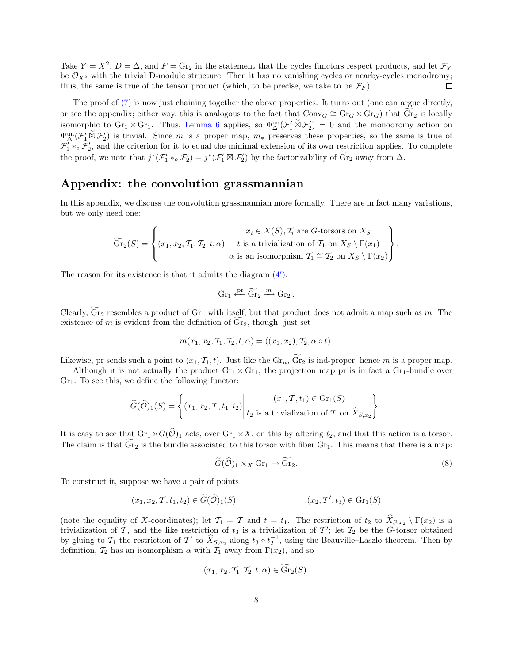Take  $Y = X^2$ ,  $D = \Delta$ , and  $F = \text{Gr}_2$  in the statement that the cycles functors respect products, and let  $\mathcal{F}_Y$ be  $\mathcal{O}_{X^2}$  with the trivial D-module structure. Then it has no vanishing cycles or nearby-cycles monodromy; thus, the same is true of the tensor product (which, to be precise, we take to be  $\mathcal{F}_F$ ).  $\Box$ 

The proof of [\(7\)](#page-6-0) is now just chaining together the above properties. It turns out (one can argue directly, or see the appendix; either way, this is analogous to the fact that  $\text{Conv}_G \cong \text{Gr}_G \times \text{Gr}_G$ ) that  $\widetilde{\text{Gr}}_2$  is locally isomorphic to  $\operatorname{Gr}_1 \times \operatorname{Gr}_1$ . Thus, [Lemma 6](#page-6-1) applies, so  $\Phi_{\Delta}^{\text{un}}(\mathcal{F}_1' \widetilde{\boxtimes} \mathcal{F}_2') = 0$  and the monodromy action on  $\Psi^{\text{un}}_{\Delta}(\mathcal{F}'_1 \widetilde{\boxtimes} \mathcal{F}'_2)$  is trivial. Since m is a proper map,  $m_*$  preserves these properties, so the same is true of  $\mathcal{F}'_1 *_{o} \mathcal{F}'_2$ , and the criterion for it to equal the minimal extension of its own restriction applies. To complete the proof, we note that  $j^*(\mathcal{F}_1' *_{\text{o}} \mathcal{F}_2') = j^*(\mathcal{F}_1' \boxtimes \mathcal{F}_2')$  by the factorizability of  $\widetilde{\text{Gr}}_2$  away from  $\Delta$ .

## Appendix: the convolution grassmannian

In this appendix, we discuss the convolution grassmannian more formally. There are in fact many variations, but we only need one:

$$
\widetilde{\mathrm{Gr}}_2(S) = \left\{ (x_1, x_2, \mathcal{T}_1, \mathcal{T}_2, t, \alpha) \middle| \begin{array}{c} x_i \in X(S), \mathcal{T}_i \text{ are } G\text{-torsors on } X_S \\ t \text{ is a trivialization of } \mathcal{T}_1 \text{ on } X_S \setminus \Gamma(x_1) \\ \alpha \text{ is an isomorphism } \mathcal{T}_1 \cong \mathcal{T}_2 \text{ on } X_S \setminus \Gamma(x_2) \end{array} \right\}.
$$

The reason for its existence is that it admits the diagram  $(4')$  $(4')$ :

$$
\operatorname{Gr}_1\xleftarrow{\operatorname{pr}} \widetilde{\operatorname{Gr}}_2\xrightarrow{m} \operatorname{Gr}_2.
$$

Clearly,  $\widetilde{\text{Gr}}_2$  resembles a product of  $\text{Gr}_1$  with itself, but that product does not admit a map such as m. The existence of m is evident from the definition of  $\text{Gr}_2$ , though: just set

$$
m(x_1, x_2, \mathcal{T}_1, \mathcal{T}_2, t, \alpha) = ((x_1, x_2), \mathcal{T}_2, \alpha \circ t).
$$

Likewise, pr sends such a point to  $(x_1, \mathcal{T}_1, t)$ . Just like the  $\text{Gr}_n$ ,  $\widetilde{\text{Gr}}_2$  is ind-proper, hence m is a proper map.

Although it is not actually the product  $\text{Gr}_1 \times \text{Gr}_1$ , the projection map pr is in fact a  $\text{Gr}_1$ -bundle over  $Gr<sub>1</sub>$ . To see this, we define the following functor:

$$
\widetilde{G}(\widehat{\mathcal{O}})_1(S) = \left\{ (x_1, x_2, \mathcal{T}, t_1, t_2) \middle| \begin{matrix} (x_1, \mathcal{T}, t_1) \in \text{Gr}_1(S) \\ t_2 \text{ is a trivialization of } \mathcal{T} \text{ on } \widehat{X}_{S, x_2} \end{matrix} \right\}.
$$

It is easy to see that  $Gr_1 \times G(\widehat{\mathcal{O}})_1$  acts, over  $Gr_1 \times X$ , on this by altering  $t_2$ , and that this action is a torsor. The claim is that  $Gr_2$  is the bundle associated to this torsor with fiber  $Gr_1$ . This means that there is a map:

<span id="page-7-0"></span>
$$
\widetilde{G}(\widehat{\mathcal{O}})_1 \times_X \mathrm{Gr}_1 \to \widetilde{\mathrm{Gr}}_2. \tag{8}
$$

To construct it, suppose we have a pair of points

$$
(x_1, x_2, \mathcal{T}, t_1, t_2) \in \widetilde{G}(\widehat{\mathcal{O}})_1(S) \qquad (x_2, \mathcal{T}', t_3) \in \text{Gr}_1(S)
$$

(note the equality of X-coordinates); let  $\mathcal{T}_1 = \mathcal{T}$  and  $t = t_1$ . The restriction of  $t_2$  to  $\widehat{X}_{S,x_2} \setminus \Gamma(x_2)$  is a trivialization of T, and the like restriction of  $t_3$  is a trivialization of T'; let  $T_2$  be the G-torsor obtained by gluing to  $\mathcal{T}_1$  the restriction of  $\mathcal{T}'$  to  $\hat{X}_{S,x_2}$  along  $t_3 \circ t_3^{-1}$ , using the Beauville–Laszlo theorem. Then by definition,  $\mathcal{T}_2$  has an isomorphism  $\alpha$  with  $\mathcal{T}_1$  away from  $\Gamma(x_2)$ , and so

$$
(x_1, x_2, \mathcal{T}_1, \mathcal{T}_2, t, \alpha) \in \mathrm{Gr}_2(S).
$$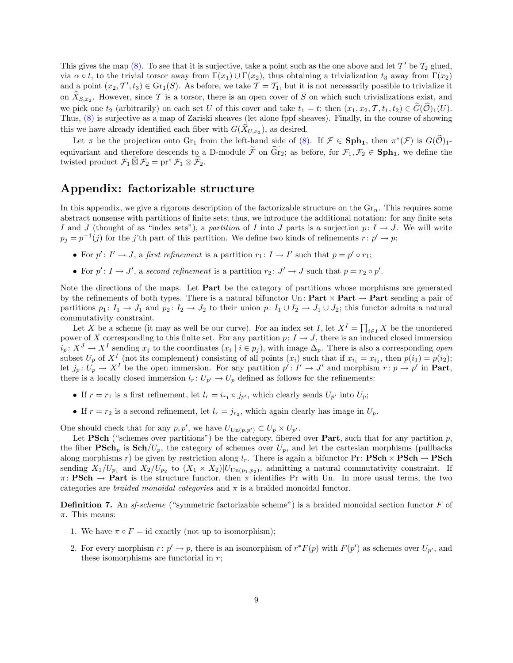This gives the map  $(8)$ . To see that it is surjective, take a point such as the one above and let T' be  $\mathcal{T}_2$  glued, via  $\alpha \circ t$ , to the trivial torsor away from  $\Gamma(x_1) \cup \Gamma(x_2)$ , thus obtaining a trivialization  $t_3$  away from  $\Gamma(x_2)$ and a point  $(x_2, \mathcal{T}', t_3) \in \text{Gr}_1(S)$ . As before, we take  $\mathcal{T} = \mathcal{T}_1$ , but it is not necessarily possible to trivialize it on  $X_{S,x_2}$ . However, since T is a torsor, there is an open cover of S on which such trivializations exist, and we pick one  $t_2$  (arbitrarily) on each set U of this cover and take  $t_1 = t$ ; then  $(x_1, x_2, \mathcal{T}, t_1, t_2) \in \widetilde{G}(\widehat{\mathcal{O}})_1(U)$ . Thus, [\(8\)](#page-7-0) is surjective as a map of Zariski sheaves (let alone fppf sheaves). Finally, in the course of showing this we have already identified each fiber with  $G(X_{U,x_2})$ , as desired.

Let  $\pi$  be the projection onto Gr<sub>1</sub> from the left-hand side of [\(8\).](#page-7-0) If  $\mathcal{F} \in \mathbf{Sph}_1$ , then  $\pi^*(\mathcal{F})$  is  $G(\widehat{\mathcal{O}})_1$ equivariant and therefore descends to a D-module  $\widetilde{\mathcal{F}}$  on  $\widetilde{\text{Gr}}_2$ ; as before, for  $\mathcal{F}_1, \mathcal{F}_2 \in \text{Sph}_1$ , we define the twisted product  $\mathcal{F}_1 \widetilde{\boxtimes} \mathcal{F}_2 = \mathrm{pr}^* \mathcal{F}_1 \otimes \widetilde{\mathcal{F}}_2$ .

## Appendix: factorizable structure

In this appendix, we give a rigorous description of the factorizable structure on the  $\mathrm{Gr}_n$ . This requires some abstract nonsense with partitions of finite sets; thus, we introduce the additional notation: for any finite sets I and J (thought of as "index sets"), a partition of I into J parts is a surjection  $p: I \to J$ . We will write  $p_j = p^{-1}(j)$  for the j'th part of this partition. We define two kinds of refinements  $r : p' \to p$ :

- For  $p' : I' \to J$ , a first refinement is a partition  $r_1 : I \to I'$  such that  $p = p' \circ r_1$ ;
- For  $p': I \to J'$ , a second refinement is a partition  $r_2: J' \to J$  such that  $p = r_2 \circ p'$ .

Note the directions of the maps. Let **Part** be the category of partitions whose morphisms are generated by the refinements of both types. There is a natural bifunctor Un:  $Part \times Part \rightarrow Part$  sending a pair of partitions  $p_1: I_1 \to J_1$  and  $p_2: I_2 \to J_2$  to their union  $p: I_1 \cup I_2 \to J_1 \cup J_2$ ; this functor admits a natural commutativity constraint.

Let X be a scheme (it may as well be our curve). For an index set I, let  $X^I = \prod_{i \in I} X$  be the unordered power of X corresponding to this finite set. For any partition  $p: I \to J$ , there is an induced closed immersion  $i_p: X^J \to X^I$  sending  $x_j$  to the coordinates  $(x_i \mid i \in p_j)$ , with image  $\Delta_p$ . There is also a corresponding *open* subset  $U_p$  of  $X^I$  (not its complement) consisting of all points  $(x_i)$  such that if  $x_{i_1} = x_{i_2}$ , then  $p(i_1) = p(i_2)$ ; let  $j_p: U_p \to X^I$  be the open immersion. For any partition  $p': I' \to J'$  and morphism  $r: p \to p'$  in **Part**, there is a locally closed immersion  $l_r: U_{p'} \to U_p$  defined as follows for the refinements:

- If  $r = r_1$  is a first refinement, let  $l_r = i_{r_1} \circ j_{p'}$ , which clearly sends  $U_{p'}$  into  $U_p$ ;
- If  $r = r_2$  is a second refinement, let  $l_r = j_{r_2}$ , which again clearly has image in  $U_p$ .

One should check that for any  $p, p'$ , we have  $U_{\text{Un}(p, p')} \subset U_p \times U_{p'}$ .

Let PSch ("schemes over partitions") be the category, fibered over Part, such that for any partition  $p$ , the fiber  $\mathbf{PSch}_p$  is  $\mathbf{Sch}/U_p$ , the category of schemes over  $U_p$ , and let the cartesian morphisms (pullbacks along morphisms r) be given by restriction along  $l_r$ . There is again a bifunctor Pr: **PSch**  $\times$  **PSch**  $\rightarrow$  **PSch** sending  $X_1/U_{p_1}$  and  $X_2/U_{p_2}$  to  $(X_1 \times X_2)|U_{\text{Un}(p_1,p_2)}$ , admitting a natural commutativity constraint. If  $\pi \colon \textbf{PSch} \to \textbf{Part}$  is the structure functor, then  $\pi$  identifies Pr with Un. In more usual terms, the two categories are *braided monoidal categories* and  $\pi$  is a braided monoidal functor.

**Definition 7.** An sf-scheme ("symmetric factorizable scheme") is a braided monoidal section functor  $F$  of  $\pi$ . This means:

- 1. We have  $\pi \circ F = id$  exactly (not up to isomorphism);
- <span id="page-8-0"></span>2. For every morphism  $r: p' \to p$ , there is an isomorphism of  $r^*F(p)$  with  $F(p')$  as schemes over  $U_{p'}$ , and these isomorphisms are functorial in  $r$ ;